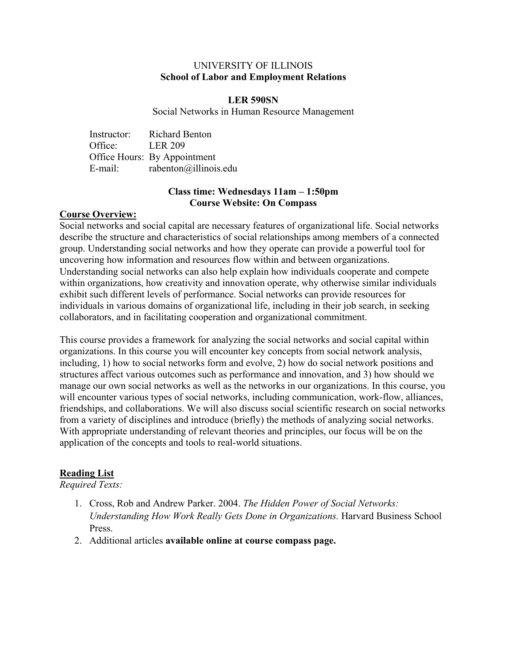# UNIVERSITY OF ILLINOIS **School of Labor and Employment Relations**

## **LER 590SN**

Social Networks in Human Resource Management

| Instructor: | <b>Richard Benton</b>        |
|-------------|------------------------------|
| Office:     | <b>LER 209</b>               |
|             | Office Hours: By Appointment |
| E-mail:     | rabenton@illinois.edu        |

# **Class time: Wednesdays 11am – 1:50pm Course Website: On Compass**

# **Course Overview:**

Social networks and social capital are necessary features of organizational life. Social networks describe the structure and characteristics of social relationships among members of a connected group. Understanding social networks and how they operate can provide a powerful tool for uncovering how information and resources flow within and between organizations. Understanding social networks can also help explain how individuals cooperate and compete within organizations, how creativity and innovation operate, why otherwise similar individuals exhibit such different levels of performance. Social networks can provide resources for individuals in various domains of organizational life, including in their job search, in seeking collaborators, and in facilitating cooperation and organizational commitment.

This course provides a framework for analyzing the social networks and social capital within organizations. In this course you will encounter key concepts from social network analysis, including, 1) how to social networks form and evolve, 2) how do social network positions and structures affect various outcomes such as performance and innovation, and 3) how should we manage our own social networks as well as the networks in our organizations. In this course, you will encounter various types of social networks, including communication, work-flow, alliances, friendships, and collaborations. We will also discuss social scientific research on social networks from a variety of disciplines and introduce (briefly) the methods of analyzing social networks. With appropriate understanding of relevant theories and principles, our focus will be on the application of the concepts and tools to real-world situations.

# **Reading List**

*Required Texts:*

- 1. Cross, Rob and Andrew Parker. 2004. *The Hidden Power of Social Networks: Understanding How Work Really Gets Done in Organizations.* Harvard Business School Press.
- 2. Additional articles **available online at course compass page.**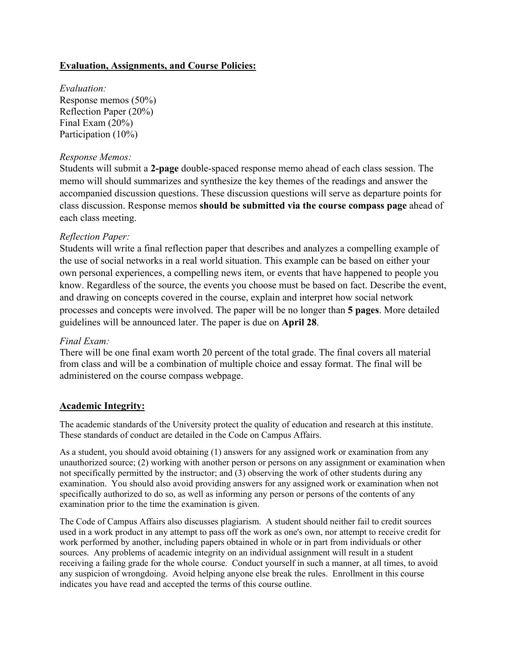# **Evaluation, Assignments, and Course Policies:**

*Evaluation:* Response memos (50%) Reflection Paper (20%) Final Exam (20%) Participation (10%)

#### *Response Memos:*

Students will submit a **2-page** double-spaced response memo ahead of each class session. The memo will should summarizes and synthesize the key themes of the readings and answer the accompanied discussion questions. These discussion questions will serve as departure points for class discussion. Response memos **should be submitted via the course compass page** ahead of each class meeting.

#### *Reflection Paper:*

Students will write a final reflection paper that describes and analyzes a compelling example of the use of social networks in a real world situation. This example can be based on either your own personal experiences, a compelling news item, or events that have happened to people you know. Regardless of the source, the events you choose must be based on fact. Describe the event, and drawing on concepts covered in the course, explain and interpret how social network processes and concepts were involved. The paper will be no longer than **5 pages**. More detailed guidelines will be announced later. The paper is due on **April 28**.

# *Final Exam:*

There will be one final exam worth 20 percent of the total grade. The final covers all material from class and will be a combination of multiple choice and essay format. The final will be administered on the course compass webpage.

#### **Academic Integrity:**

The academic standards of the University protect the quality of education and research at this institute. These standards of conduct are detailed in the Code on Campus Affairs.

As a student, you should avoid obtaining (1) answers for any assigned work or examination from any unauthorized source; (2) working with another person or persons on any assignment or examination when not specifically permitted by the instructor; and (3) observing the work of other students during any examination. You should also avoid providing answers for any assigned work or examination when not specifically authorized to do so, as well as informing any person or persons of the contents of any examination prior to the time the examination is given.

The Code of Campus Affairs also discusses plagiarism. A student should neither fail to credit sources used in a work product in any attempt to pass off the work as one's own, nor attempt to receive credit for work performed by another, including papers obtained in whole or in part from individuals or other sources. Any problems of academic integrity on an individual assignment will result in a student receiving a failing grade for the whole course. Conduct yourself in such a manner, at all times, to avoid any suspicion of wrongdoing. Avoid helping anyone else break the rules. Enrollment in this course indicates you have read and accepted the terms of this course outline.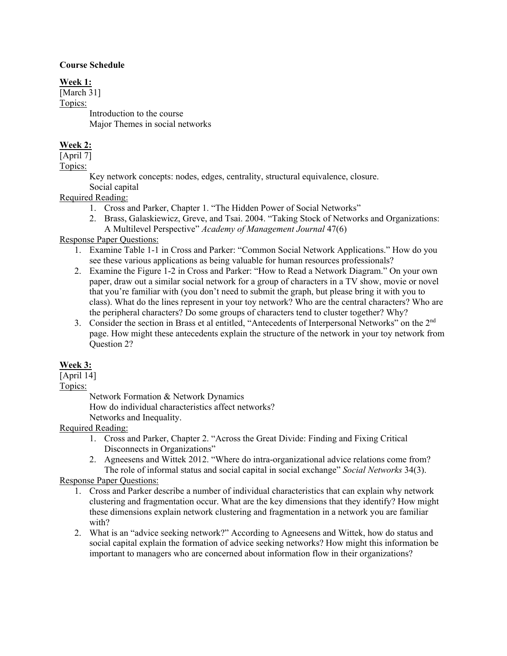#### **Course Schedule**

# **Week 1:**

[March 31] Topics: Introduction to the course Major Themes in social networks

# **Week 2:**

[April 7] Topics:

> Key network concepts: nodes, edges, centrality, structural equivalence, closure. Social capital

# Required Reading:

- 1. Cross and Parker, Chapter 1. "The Hidden Power of Social Networks"
- 2. Brass, Galaskiewicz, Greve, and Tsai. 2004. "Taking Stock of Networks and Organizations: A Multilevel Perspective" *Academy of Management Journal* 47(6)

# Response Paper Questions:

- 1. Examine Table 1-1 in Cross and Parker: "Common Social Network Applications." How do you see these various applications as being valuable for human resources professionals?
- 2. Examine the Figure 1-2 in Cross and Parker: "How to Read a Network Diagram." On your own paper, draw out a similar social network for a group of characters in a TV show, movie or novel that you're familiar with (you don't need to submit the graph, but please bring it with you to class). What do the lines represent in your toy network? Who are the central characters? Who are the peripheral characters? Do some groups of characters tend to cluster together? Why?
- 3. Consider the section in Brass et al entitled, "Antecedents of Interpersonal Networks" on the 2<sup>nd</sup> page. How might these antecedents explain the structure of the network in your toy network from Question 2?

# **Week 3:**

[April 14]

Topics:

Network Formation & Network Dynamics How do individual characteristics affect networks? Networks and Inequality.

# Required Reading:

- 1. Cross and Parker, Chapter 2. "Across the Great Divide: Finding and Fixing Critical Disconnects in Organizations"
- 2. Agneesens and Wittek 2012. "Where do intra-organizational advice relations come from? The role of informal status and social capital in social exchange" *Social Networks* 34(3).

# Response Paper Questions:

- 1. Cross and Parker describe a number of individual characteristics that can explain why network clustering and fragmentation occur. What are the key dimensions that they identify? How might these dimensions explain network clustering and fragmentation in a network you are familiar with?
- 2. What is an "advice seeking network?" According to Agneesens and Wittek, how do status and social capital explain the formation of advice seeking networks? How might this information be important to managers who are concerned about information flow in their organizations?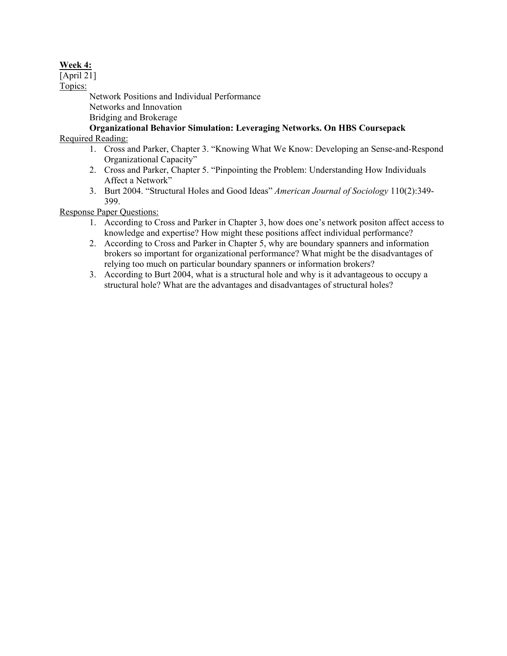# **Week 4:**

[April 21]

Topics:

Network Positions and Individual Performance Networks and Innovation Bridging and Brokerage

# **Organizational Behavior Simulation: Leveraging Networks. On HBS Coursepack**

Required Reading:

- 1. Cross and Parker, Chapter 3. "Knowing What We Know: Developing an Sense-and-Respond Organizational Capacity"
- 2. Cross and Parker, Chapter 5. "Pinpointing the Problem: Understanding How Individuals Affect a Network"
- 3. Burt 2004. "Structural Holes and Good Ideas" *American Journal of Sociology* 110(2):349- 399.

Response Paper Questions:

- 1. According to Cross and Parker in Chapter 3, how does one's network positon affect access to knowledge and expertise? How might these positions affect individual performance?
- 2. According to Cross and Parker in Chapter 5, why are boundary spanners and information brokers so important for organizational performance? What might be the disadvantages of relying too much on particular boundary spanners or information brokers?
- 3. According to Burt 2004, what is a structural hole and why is it advantageous to occupy a structural hole? What are the advantages and disadvantages of structural holes?